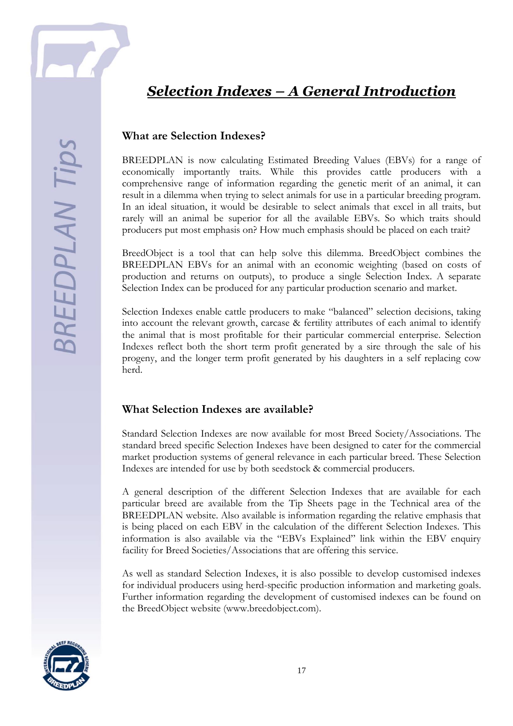## *Selection Indexes – A General Introduction*

BREEDPLAN is now calculating Estimated Breeding Values (EBVs) for a range of economically importantly traits. While this provides cattle producers with a comprehensive range of information regarding the genetic merit of an animal, it can result in a dilemma when trying to select animals for use in a particular breeding program. In an ideal situation, it would be desirable to select animals that excel in all traits, but rarely will an animal be superior for all the available EBVs. So which traits should producers put most emphasis on? How much emphasis should be placed on each trait?

BreedObject is a tool that can help solve this dilemma. BreedObject combines the BREEDPLAN EBVs for an animal with an economic weighting (based on costs of production and returns on outputs), to produce a single Selection Index. A separate Selection Index can be produced for any particular production scenario and market.

Selection Indexes enable cattle producers to make "balanced" selection decisions, taking into account the relevant growth, carcase & fertility attributes of each animal to identify the animal that is most profitable for their particular commercial enterprise. Selection Indexes reflect both the short term profit generated by a sire through the sale of his progeny, and the longer term profit generated by his daughters in a self replacing cow herd.

## **What Selection Indexes are available?**

Standard Selection Indexes are now available for most Breed Society/Associations. The standard breed specific Selection Indexes have been designed to cater for the commercial market production systems of general relevance in each particular breed. These Selection Indexes are intended for use by both seedstock & commercial producers.

A general description of the different Selection Indexes that are available for each particular breed are available from the Tip Sheets page in the Technical area of the BREEDPLAN website. Also available is information regarding the relative emphasis that is being placed on each EBV in the calculation of the different Selection Indexes. This information is also available via the "EBVs Explained" link within the EBV enquiry facility for Breed Societies/Associations that are offering this service.

As well as standard Selection Indexes, it is also possible to develop customised indexes for individual producers using herd-specific production information and marketing goals. Further information regarding the development of customised indexes can be found on the BreedObject website (www.breedobject.com).